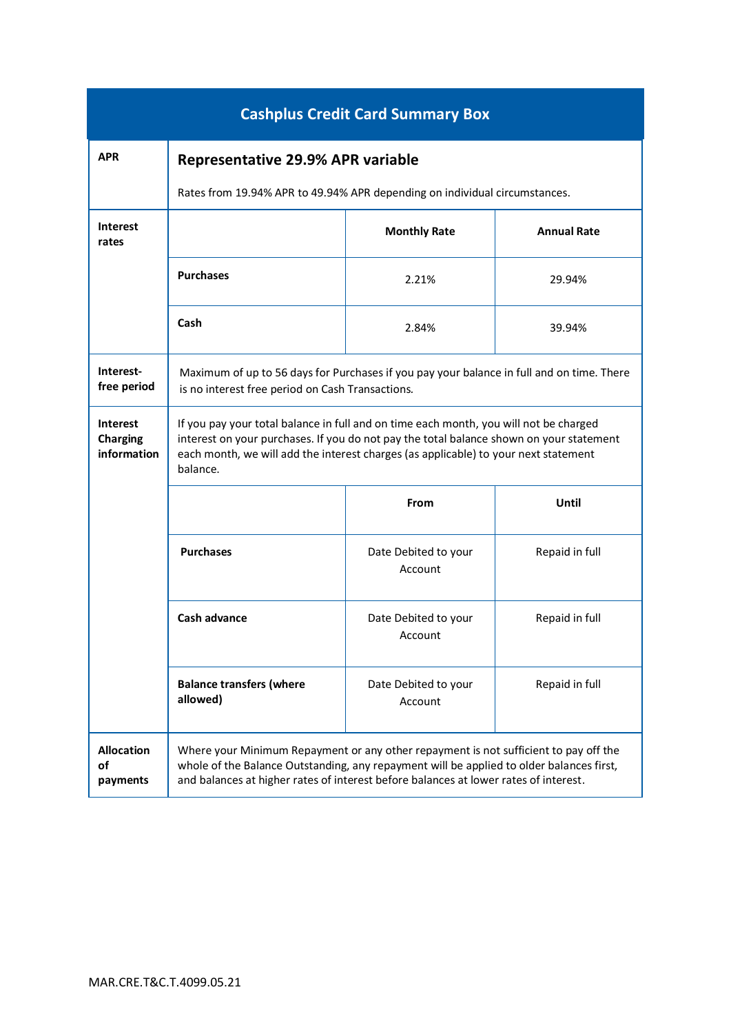| <b>Cashplus Credit Card Summary Box</b>           |                                                                                                                                                                                                                                                                                     |                                 |                    |  |  |
|---------------------------------------------------|-------------------------------------------------------------------------------------------------------------------------------------------------------------------------------------------------------------------------------------------------------------------------------------|---------------------------------|--------------------|--|--|
| <b>APR</b>                                        | <b>Representative 29.9% APR variable</b>                                                                                                                                                                                                                                            |                                 |                    |  |  |
|                                                   | Rates from 19.94% APR to 49.94% APR depending on individual circumstances.                                                                                                                                                                                                          |                                 |                    |  |  |
| <b>Interest</b><br>rates                          |                                                                                                                                                                                                                                                                                     | <b>Monthly Rate</b>             | <b>Annual Rate</b> |  |  |
|                                                   | <b>Purchases</b>                                                                                                                                                                                                                                                                    | 2.21%                           | 29.94%             |  |  |
|                                                   | Cash                                                                                                                                                                                                                                                                                | 2.84%                           | 39.94%             |  |  |
| Interest-<br>free period                          | Maximum of up to 56 days for Purchases if you pay your balance in full and on time. There<br>is no interest free period on Cash Transactions.                                                                                                                                       |                                 |                    |  |  |
| <b>Interest</b><br><b>Charging</b><br>information | If you pay your total balance in full and on time each month, you will not be charged<br>interest on your purchases. If you do not pay the total balance shown on your statement<br>each month, we will add the interest charges (as applicable) to your next statement<br>balance. |                                 |                    |  |  |
|                                                   |                                                                                                                                                                                                                                                                                     | From                            | Until              |  |  |
|                                                   | <b>Purchases</b>                                                                                                                                                                                                                                                                    | Date Debited to your<br>Account | Repaid in full     |  |  |
|                                                   | Cash advance                                                                                                                                                                                                                                                                        | Date Debited to your<br>Account | Repaid in full     |  |  |
|                                                   | <b>Balance transfers (where</b><br>allowed)                                                                                                                                                                                                                                         | Date Debited to your<br>Account | Repaid in full     |  |  |
| <b>Allocation</b><br>of<br>payments               | Where your Minimum Repayment or any other repayment is not sufficient to pay off the<br>whole of the Balance Outstanding, any repayment will be applied to older balances first,<br>and balances at higher rates of interest before balances at lower rates of interest.            |                                 |                    |  |  |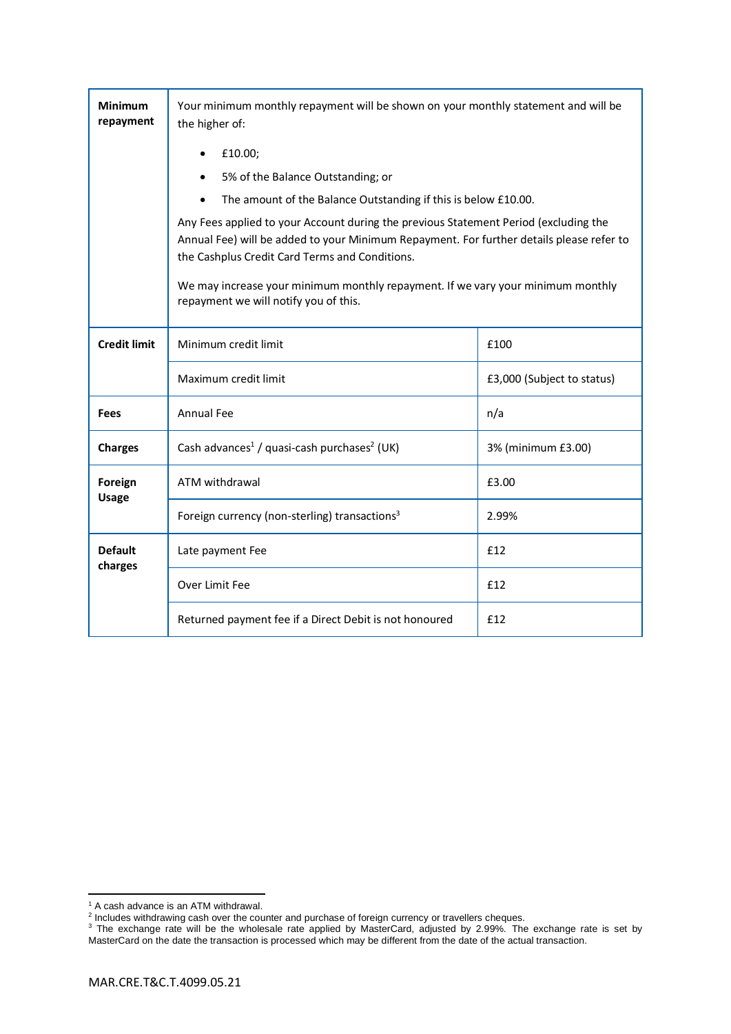| <b>Minimum</b><br>repayment | Your minimum monthly repayment will be shown on your monthly statement and will be<br>the higher of:                                                                                                                               |                            |  |  |  |
|-----------------------------|------------------------------------------------------------------------------------------------------------------------------------------------------------------------------------------------------------------------------------|----------------------------|--|--|--|
|                             | £10.00;                                                                                                                                                                                                                            |                            |  |  |  |
|                             | 5% of the Balance Outstanding; or                                                                                                                                                                                                  |                            |  |  |  |
|                             | The amount of the Balance Outstanding if this is below £10.00.                                                                                                                                                                     |                            |  |  |  |
|                             | Any Fees applied to your Account during the previous Statement Period (excluding the<br>Annual Fee) will be added to your Minimum Repayment. For further details please refer to<br>the Cashplus Credit Card Terms and Conditions. |                            |  |  |  |
|                             | We may increase your minimum monthly repayment. If we vary your minimum monthly<br>repayment we will notify you of this.                                                                                                           |                            |  |  |  |
| <b>Credit limit</b>         | Minimum credit limit                                                                                                                                                                                                               | £100                       |  |  |  |
|                             | Maximum credit limit                                                                                                                                                                                                               | £3,000 (Subject to status) |  |  |  |
| <b>Fees</b>                 | <b>Annual Fee</b>                                                                                                                                                                                                                  | n/a                        |  |  |  |
| <b>Charges</b>              | Cash advances <sup>1</sup> / quasi-cash purchases <sup>2</sup> (UK)                                                                                                                                                                | 3% (minimum £3.00)         |  |  |  |
| Foreign<br><b>Usage</b>     | ATM withdrawal                                                                                                                                                                                                                     | £3.00                      |  |  |  |
|                             | Foreign currency (non-sterling) transactions <sup>3</sup>                                                                                                                                                                          | 2.99%                      |  |  |  |
| <b>Default</b><br>charges   | Late payment Fee                                                                                                                                                                                                                   | £12                        |  |  |  |
|                             | Over Limit Fee                                                                                                                                                                                                                     | £12                        |  |  |  |
|                             | Returned payment fee if a Direct Debit is not honoured                                                                                                                                                                             | £12                        |  |  |  |

<sup>&</sup>lt;sup>1</sup> A cash advance is an ATM withdrawal.<br><sup>2</sup> Includes withdrawing cash over the counter and purchase of foreign currency or travellers cheques.

 $3$  The exchange rate will be the wholesale rate applied by MasterCard, adjusted by 2.99%. The exchange rate is set by MasterCard on the date the transaction is processed which may be different from the date of the actual transaction.